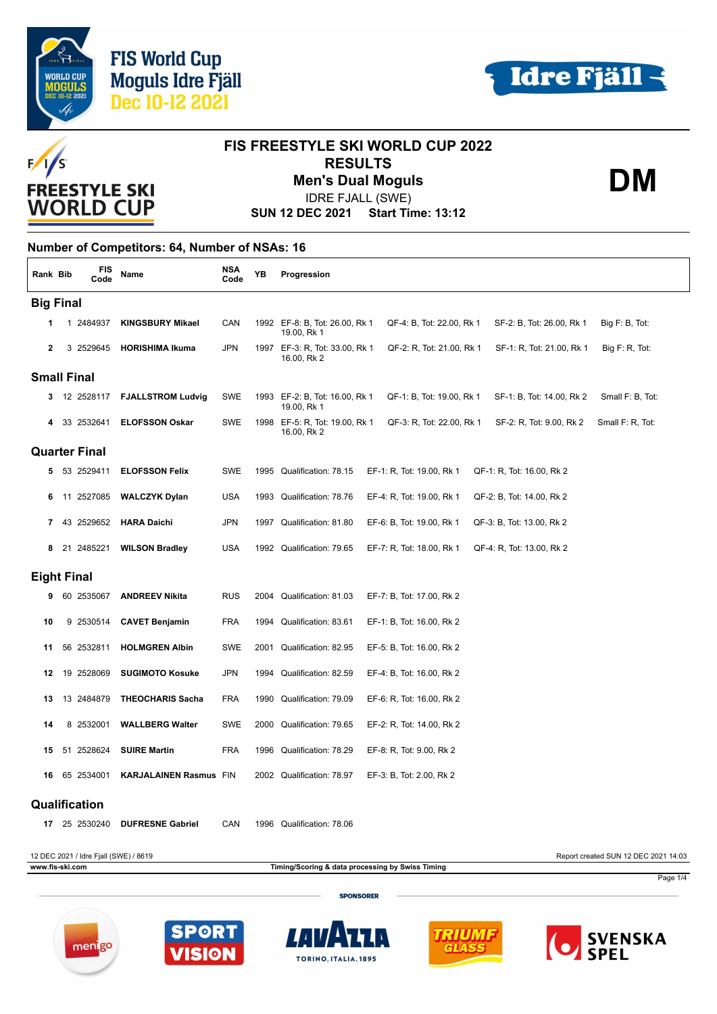



**DM**



# **FIS FREESTYLE SKI WORLD CUP 2022 RESULTS Men's Dual Moguls**

IDRE FJALL (SWE)

**SUN 12 DEC 2021 Start Time: 13:12**

### **Number of Competitors: 64, Number of NSAs: 16**

| Rank Bib           |  |    | <b>FIS</b><br>Code                    | Name                          | <b>NSA</b><br>Code | YΒ   | Progression                                                                                                               |  |
|--------------------|--|----|---------------------------------------|-------------------------------|--------------------|------|---------------------------------------------------------------------------------------------------------------------------|--|
| <b>Big Final</b>   |  |    |                                       |                               |                    |      |                                                                                                                           |  |
| 1                  |  |    | 1 2484937                             | <b>KINGSBURY Mikael</b>       | CAN                |      | 1992 EF-8: B, Tot: 26.00, Rk 1<br>QF-4: B, Tot: 22.00, Rk 1<br>SF-2: B, Tot: 26.00, Rk 1<br>Big F: B, Tot:<br>19.00, Rk 1 |  |
| $\mathbf{2}$       |  |    | 3 2529645                             | <b>HORISHIMA Ikuma</b>        | <b>JPN</b>         |      | 1997 EF-3: R, Tot: 33.00, Rk 1<br>QF-2: R, Tot: 21.00, Rk 1<br>SF-1: R, Tot: 21.00, Rk 1<br>Big F: R, Tot:<br>16.00, Rk 2 |  |
| <b>Small Final</b> |  |    |                                       |                               |                    |      |                                                                                                                           |  |
| з                  |  |    | 12 2528117                            | <b>FJALLSTROM Ludvig</b>      | SWE                | 1993 | EF-2: B, Tot: 16.00, Rk 1<br>QF-1: B, Tot: 19.00, Rk 1<br>SF-1: B, Tot: 14.00, Rk 2<br>Small F: B, Tot:<br>19.00, Rk 1    |  |
|                    |  | 33 | 2532641                               | <b>ELOFSSON Oskar</b>         | <b>SWE</b>         | 1998 | EF-5: R, Tot: 19.00, Rk 1<br>QF-3: R, Tot: 22.00, Rk 1<br>SF-2: R, Tot: 9.00, Rk 2<br>Small F: R, Tot:<br>16.00, Rk 2     |  |
|                    |  |    | <b>Quarter Final</b>                  |                               |                    |      |                                                                                                                           |  |
| 5.                 |  |    | 53 2529411                            | <b>ELOFSSON Felix</b>         | SWE                | 1995 | Qualification: 78.15<br>EF-1: R, Tot: 19.00, Rk 1<br>QF-1: R, Tot: 16.00, Rk 2                                            |  |
| 6                  |  |    | 11 2527085                            | <b>WALCZYK Dylan</b>          | <b>USA</b>         |      | 1993 Qualification: 78.76<br>EF-4: R, Tot: 19.00, Rk 1<br>QF-2: B, Tot: 14.00, Rk 2                                       |  |
| 7                  |  |    | 43 2529652                            | <b>HARA Daichi</b>            | <b>JPN</b>         |      | 1997 Qualification: 81.80<br>EF-6: B, Tot: 19.00, Rk 1<br>QF-3: B, Tot: 13.00, Rk 2                                       |  |
| 8                  |  |    | 21 2485221                            | <b>WILSON Bradley</b>         | <b>USA</b>         |      | 1992 Qualification: 79.65<br>EF-7: R, Tot: 18.00, Rk 1<br>QF-4: R, Tot: 13.00, Rk 2                                       |  |
| <b>Eight Final</b> |  |    |                                       |                               |                    |      |                                                                                                                           |  |
| 9                  |  |    | 60 2535067                            | <b>ANDREEV Nikita</b>         | <b>RUS</b>         | 2004 | Qualification: 81.03<br>EF-7: B, Tot: 17.00, Rk 2                                                                         |  |
| 10                 |  |    | 9 2530514                             | <b>CAVET Benjamin</b>         | <b>FRA</b>         | 1994 | Qualification: 83.61<br>EF-1: B, Tot: 16.00, Rk 2                                                                         |  |
| 11                 |  |    | 56 2532811                            | <b>HOLMGREN Albin</b>         | SWE                | 2001 | Qualification: 82.95<br>EF-5: B, Tot: 16.00, Rk 2                                                                         |  |
| 12                 |  |    | 19 2528069                            | <b>SUGIMOTO Kosuke</b>        | <b>JPN</b>         | 1994 | Qualification: 82.59<br>EF-4: B, Tot: 16.00, Rk 2                                                                         |  |
| 13                 |  |    | 13 2484879                            | <b>THEOCHARIS Sacha</b>       | <b>FRA</b>         | 1990 | Qualification: 79.09<br>EF-6: R, Tot: 16.00, Rk 2                                                                         |  |
| 14                 |  |    | 8 2532001                             | <b>WALLBERG Walter</b>        | SWE                |      | 2000 Qualification: 79.65<br>EF-2: R, Tot: 14.00, Rk 2                                                                    |  |
| 15                 |  |    | 51 2528624                            | <b>SUIRE Martin</b>           | <b>FRA</b>         | 1996 | Qualification: 78.29<br>EF-8: R, Tot: 9.00, Rk 2                                                                          |  |
| 16                 |  | 65 | 2534001                               | <b>KARJALAINEN Rasmus FIN</b> |                    |      | 2002 Qualification: 78.97<br>EF-3: B, Tot: 2.00, Rk 2                                                                     |  |
| Qualification      |  |    |                                       |                               |                    |      |                                                                                                                           |  |
| 17                 |  |    | 25 2530240                            | <b>DUFRESNE Gabriel</b>       | CAN                | 1996 | Qualification: 78.06                                                                                                      |  |
|                    |  |    | 12 DEC 2021 / Idre Fjall (SWE) / 8619 |                               |                    |      | Report created SUN 12 DEC 2021 14:03                                                                                      |  |

**www.fis-ski.com Timing/Scoring & data processing by Swiss Timing**

**SPONSORER** 











Page 1/4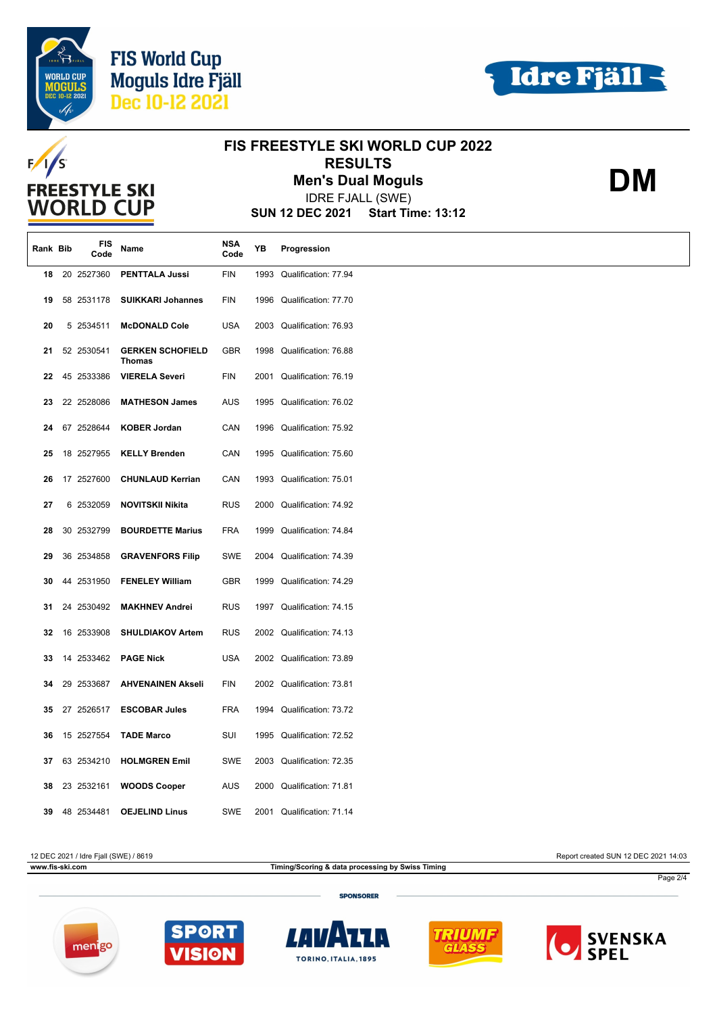





**DM**

# **FIS FREESTYLE SKI WORLD CUP 2022**  $F/1/S$ **RESULTS Men's Dual Moguls FREESTYLE SKI** IDRE FJALL (SWE) **WORLD CUP SUN 12 DEC 2021 Start Time: 13:12 Rank Bib FIS Code YB Progression Code Name NSA 18** 20 2527360 **PENTTALA Jussi** FIN 1993 Qualification: 77.94 **19** 58 2531178 **SUIKKARI Johannes** FIN 1996 Qualification: 77.70 **20** 5 2534511 **McDONALD Cole** USA 2003 Qualification: 76.93 **21 GERKEN SCHOFIELD** GBR 1998 Qualification: 76.88 **Thomas 22** 45 2533386 **VIERELA Severi** FIN 2001 Qualification: 76.19 **23** 22 2528086 **MATHESON James** AUS 1995 Qualification: 76.02 **24** 67 2528644 **KOBER Jordan** CAN 1996 Qualification: 75.92 **25** 18 2527955 **KELLY Brenden** CAN 1995 Qualification: 75.60 **26** 17 2527600 **CHUNLAUD Kerrian** CAN 1993 Qualification: 75.01 **27** 6 2532059 **NOVITSKII Nikita** RUS 2000 Qualification: 74.92 **28** 30 2532799 **BOURDETTE Marius** FRA 1999 Qualification: 74.84 **29** 36 2534858 **GRAVENFORS Filip** SWE 2004 Qualification: 74.39 **30** 44 2531950 **FENELEY William** GBR 1999 Qualification: 74.29 **31** 24 2530492 **MAKHNEV Andrei** RUS 1997 Qualification: 74.15 **32** 16 2533908 **SHULDIAKOV Artem** RUS 2002 Qualification: 74.13 **33** 14 2533462 **PAGE Nick** USA 2002 Qualification: 73.89 **34** 29 2533687 **AHVENAINEN Akseli** FIN 2002 Qualification: 73.81 **35** 27 2526517 **ESCOBAR Jules** FRA 1994 Qualification: 73.72 **36** 15 2527554 **TADE Marco** SUI 1995 Qualification: 72.52

**www.fis-ski.com Timing/Scoring & data processing by Swiss Timing**

12 DEC 2021 / Idre Fjall (SWE) / 8619 Report created SUN 12 DEC 2021 14:03

Page 2/4

**SPONSORER** 





**37** 63 2534210 **HOLMGREN Emil** SWE 2003 Qualification: 72.35

**38** 23 2532161 **WOODS Cooper** AUS 2000 Qualification: 71.81

**39** 48 2534481 **OEJELIND Linus** SWE 2001 Qualification: 71.14





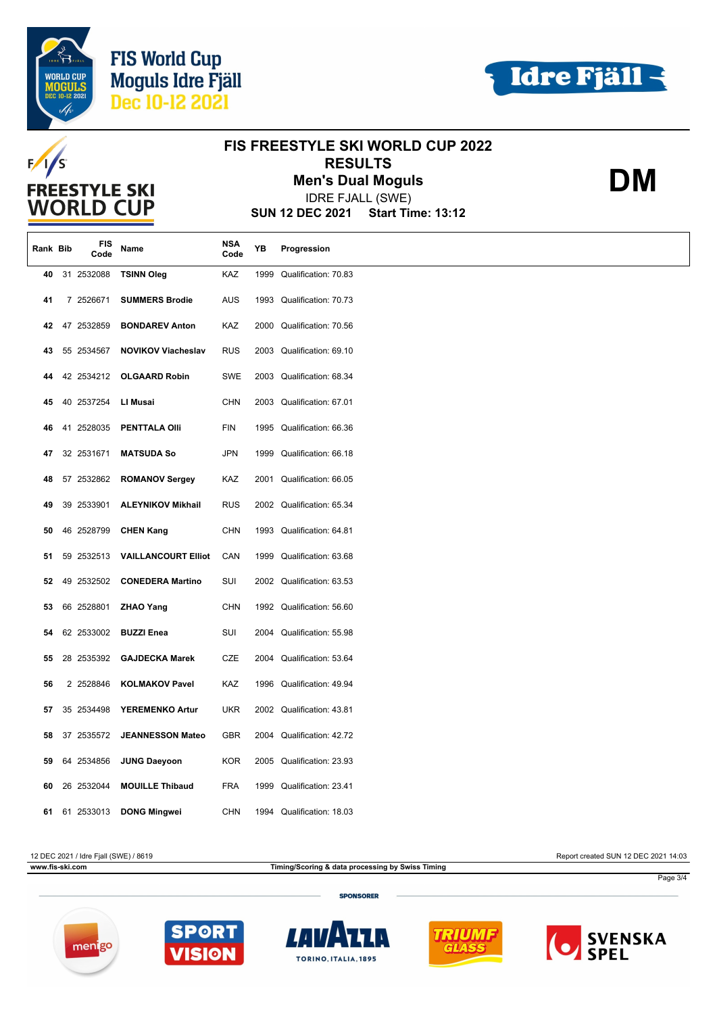





| <b>FREESTYLE SKI</b> |  |               |                                                                        |                    |      | <b>FIS FREESTYLE SKI WORLD CUP 2022</b><br><b>RESULTS</b> | DM |  |
|----------------------|--|---------------|------------------------------------------------------------------------|--------------------|------|-----------------------------------------------------------|----|--|
|                      |  |               |                                                                        |                    |      | <b>Men's Dual Moguls</b>                                  |    |  |
| <b>WORLD CUP</b>     |  |               | <b>IDRE FJALL (SWE)</b><br><b>SUN 12 DEC 2021</b><br>Start Time: 13:12 |                    |      |                                                           |    |  |
| Rank Bib             |  | FIS<br>Code   | Name                                                                   | <b>NSA</b><br>Code | YB   | Progression                                               |    |  |
| 40                   |  | 31 2532088    | <b>TSINN Oleg</b>                                                      | KAZ                | 1999 | Qualification: 70.83                                      |    |  |
| 41                   |  | 7 2526671     | <b>SUMMERS Brodie</b>                                                  | AUS                |      | 1993 Qualification: 70.73                                 |    |  |
| 42                   |  | 47 2532859    | <b>BONDAREV Anton</b>                                                  | KAZ                | 2000 | Qualification: 70.56                                      |    |  |
| 43                   |  | 55 2534567    | <b>NOVIKOV Viacheslav</b>                                              | <b>RUS</b>         | 2003 | Qualification: 69.10                                      |    |  |
| 44                   |  | 42 2534212    | <b>OLGAARD Robin</b>                                                   | SWE                |      | 2003 Qualification: 68.34                                 |    |  |
| 45                   |  | 40 2537254    | LI Musai                                                               | <b>CHN</b>         |      | 2003 Qualification: 67.01                                 |    |  |
| 46                   |  | 41 2528035    | <b>PENTTALA OIII</b>                                                   | FIN                |      | 1995 Qualification: 66.36                                 |    |  |
| 47                   |  | 32 2531671    | <b>MATSUDA So</b>                                                      | <b>JPN</b>         | 1999 | Qualification: 66.18                                      |    |  |
| 48                   |  | 57 2532862    | <b>ROMANOV Sergey</b>                                                  | KAZ                |      | 2001 Qualification: 66.05                                 |    |  |
| 49                   |  | 39 2533901    | <b>ALEYNIKOV Mikhail</b>                                               | <b>RUS</b>         |      | 2002 Qualification: 65.34                                 |    |  |
| 50                   |  | 46 2528799    | <b>CHEN Kang</b>                                                       | <b>CHN</b>         |      | 1993 Qualification: 64.81                                 |    |  |
| 51                   |  | 59 2532513    | <b>VAILLANCOURT Elliot</b>                                             | CAN                | 1999 | Qualification: 63.68                                      |    |  |
| 52                   |  | 49 2532502    | <b>CONEDERA Martino</b>                                                | SUI                |      | 2002 Qualification: 63.53                                 |    |  |
| 53                   |  | 66 2528801    | <b>ZHAO Yang</b>                                                       | <b>CHN</b>         |      | 1992 Qualification: 56.60                                 |    |  |
| 54                   |  | 62 2533002    | <b>BUZZI Enea</b>                                                      | SUI                |      | 2004 Qualification: 55.98                                 |    |  |
| 55                   |  | 28 2535392    | <b>GAJDECKA Marek</b>                                                  | <b>CZE</b>         | 2004 | Qualification: 53.64                                      |    |  |
| 56                   |  | 2 2528846     | <b>KOLMAKOV Pavel</b>                                                  | KAZ                |      | 1996 Qualification: 49.94                                 |    |  |
| 57                   |  | 35 2534498    | YEREMENKO Artur                                                        | UKR                |      | 2002 Qualification: 43.81                                 |    |  |
| 58                   |  | 37 2535572    | <b>JEANNESSON Mateo</b>                                                | GBR                | 2004 | Qualification: 42.72                                      |    |  |
| 59                   |  | 64 2534856    | <b>JUNG Daeyoon</b>                                                    | KOR                |      | 2005 Qualification: 23.93                                 |    |  |
| 60                   |  | 26 2532044    | <b>MOUILLE Thibaud</b>                                                 | <b>FRA</b>         | 1999 | Qualification: 23.41                                      |    |  |
|                      |  | 61 61 2533013 | <b>DONG Mingwei</b>                                                    | CHN                |      | 1994 Qualification: 18.03                                 |    |  |

#### 12 DEC 2021 / Idre Fjall (SWE) / 8619 Report created SUN 12 DEC 2021 14:03

**www.fis-ski.com Timing/Scoring & data processing by Swiss Timing**

Page 3/4

**SPONSORER**